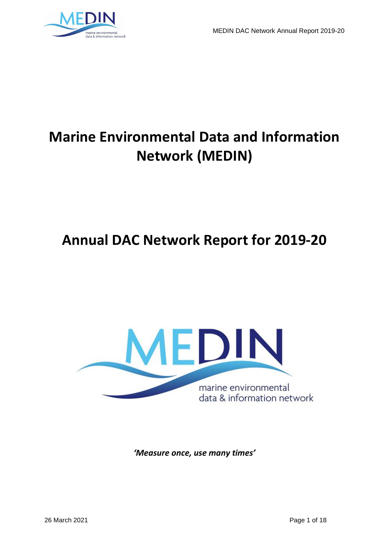

# **Marine Environmental Data and Information Network (MEDIN)**

# **Annual DAC Network Report for 2019-20**



*'Measure once, use many times'*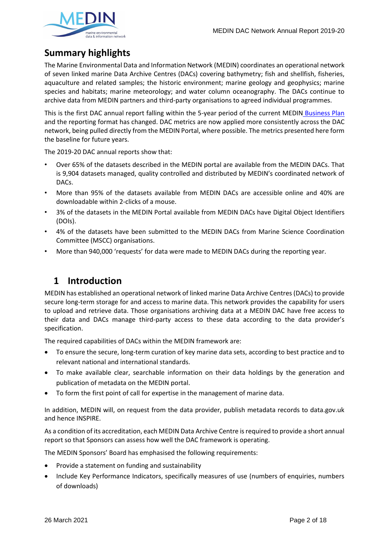

# **Summary highlights**

The Marine Environmental Data and Information Network (MEDIN) coordinates an operational network of seven linked marine Data Archive Centres (DACs) covering bathymetry; fish and shellfish, fisheries, aquaculture and related samples; the historic environment; marine geology and geophysics; marine species and habitats; marine meteorology; and water column oceanography. The DACs continue to archive data from MEDIN partners and third-party organisations to agreed individual programmes.

This is the first DAC annual report falling within the 5-year period of the current MEDIN [Business Plan](https://www.medin.org.uk/sites/medin/files/documents/MEDIN_Business_Plan_201924_final.pdf) and the reporting format has changed. DAC metrics are now applied more consistently across the DAC network, being pulled directly from the MEDIN Portal, where possible. The metrics presented here form the baseline for future years.

The 2019-20 DAC annual reports show that:

- Over 65% of the datasets described in the MEDIN portal are available from the MEDIN DACs. That is 9,904 datasets managed, quality controlled and distributed by MEDIN's coordinated network of DACs.
- More than 95% of the datasets available from MEDIN DACs are accessible online and 40% are downloadable within 2-clicks of a mouse.
- 3% of the datasets in the MEDIN Portal available from MEDIN DACs have Digital Object Identifiers (DOIs).
- 4% of the datasets have been submitted to the MEDIN DACs from Marine Science Coordination Committee (MSCC) organisations.
- More than 940,000 'requests' for data were made to MEDIN DACs during the reporting year.

## **1 Introduction**

MEDIN has established an operational network of linked marine Data Archive Centres (DACs) to provide secure long-term storage for and access to marine data. This network provides the capability for users to upload and retrieve data. Those organisations archiving data at a MEDIN DAC have free access to their data and DACs manage third-party access to these data according to the data provider's specification.

The required capabilities of DACs within the MEDIN framework are:

- To ensure the secure, long-term curation of key marine data sets, according to best practice and to relevant national and international standards.
- To make available clear, searchable information on their data holdings by the generation and publication of metadata on the MEDIN portal.
- To form the first point of call for expertise in the management of marine data.

In addition, MEDIN will, on request from the data provider, publish metadata records to data.gov.uk and hence INSPIRE.

As a condition of its accreditation, each MEDIN Data Archive Centre is required to provide a short annual report so that Sponsors can assess how well the DAC framework is operating.

The MEDIN Sponsors' Board has emphasised the following requirements:

- Provide a statement on funding and sustainability
- Include Key Performance Indicators, specifically measures of use (numbers of enquiries, numbers of downloads)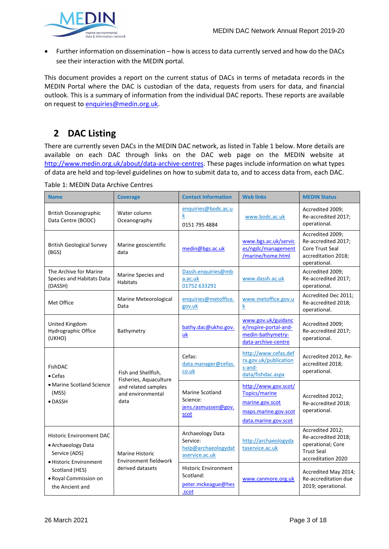

• Further information on dissemination – how is access to data currently served and how do the DACs see their interaction with the MEDIN portal.

This document provides a report on the current status of DACs in terms of metadata records in the MEDIN Portal where the DAC is custodian of the data, requests from users for data, and financial outlook. This is a summary of information from the individual DAC reports. These reports are available on request to enquiries@medin.org.uk.

# **2 DAC Listing**

There are currently seven DACs in the MEDIN DAC network, as listed in Table 1 below. More details are available on each DAC through links on the DAC web page on the MEDIN website at [http://www.medin.org.uk/about/data-archive-centres.](http://www.medin.org.uk/about/data-archive-centres) These pages include information on what types of data are held and top-level guidelines on how to submit data to, and to access data from, each DAC.

| <b>Name</b>                                                                                                                                                                                                                                  | <b>Coverage</b>                               | <b>Contact Information</b><br><b>Web links</b>                          |                                                                                                                 | <b>MEDIN Status</b>                                                                                     |  |
|----------------------------------------------------------------------------------------------------------------------------------------------------------------------------------------------------------------------------------------------|-----------------------------------------------|-------------------------------------------------------------------------|-----------------------------------------------------------------------------------------------------------------|---------------------------------------------------------------------------------------------------------|--|
| <b>British Oceanographic</b><br>Data Centre (BODC)                                                                                                                                                                                           | Water column<br>Oceanography                  | enquiries@bodc.ac.u<br>k<br>0151 795 4884                               | www.bodc.ac.uk                                                                                                  | Accredited 2009;<br>Re-accredited 2017;<br>operational.                                                 |  |
| <b>British Geological Survey</b><br>(BGS)                                                                                                                                                                                                    | Marine geoscientific<br>data                  | medin@bgs.ac.uk                                                         | www.bgs.ac.uk/servic<br>es/ngdc/management<br>/marine/home.html                                                 | Accredited 2009;<br>Re-accredited 2017;<br>Core Trust Seal<br>accreditation 2018;<br>operational.       |  |
| The Archive for Marine<br>Species and Habitats Data<br>(DASSH)                                                                                                                                                                               | Marine Species and<br><b>Habitats</b>         | Dassh.enquiries@mb<br>a.ac.uk<br>01752 633291                           | www.dassh.ac.uk                                                                                                 | Accredited 2009;<br>Re-accredited 2017;<br>operational.                                                 |  |
| Met Office                                                                                                                                                                                                                                   | Marine Meteorological<br>Data                 | enquiries@metoffice.<br>gov.uk                                          | www.metoffice.gov.u<br>$\underline{k}$                                                                          | Accredited Dec 2011;<br>Re-accredited 2018;<br>operational.                                             |  |
| <b>United Kingdom</b><br>Hydrographic Office<br>(UKHO)                                                                                                                                                                                       | Bathymetry                                    | bathy.dac@ukho.gov.<br>uk                                               | www.gov.uk/guidanc<br>e/inspire-portal-and-<br>medin-bathymetry-<br>data-archive-centre                         | Accredited 2009;<br>Re-accredited 2017;<br>operational.                                                 |  |
| FishDAC<br>$\bullet$ Cefas<br>• Marine Scotland Science<br>(MSS)<br>data<br>$\bullet$ DASSH                                                                                                                                                  | Fish and Shellfish,<br>Fisheries, Aquaculture | Cefas:<br>data.manager@cefas.<br>co.uk                                  | http://www.cefas.def<br>ra.gov.uk/publication<br>s-and-<br>data/fishdac.aspx                                    | Accredited 2012, Re-<br>accredited 2018;<br>operational.                                                |  |
|                                                                                                                                                                                                                                              | and related samples<br>and environmental      | <b>Marine Scotland</b><br>Science:<br>jens.rasmussen@gov.<br>scot       | http://www.gov.scot/<br><b>Topics/marine</b><br>marine.gov.scot<br>maps.marine.gov.scot<br>data.marine.gov.scot | Accredited 2012;<br>Re-accredited 2018;<br>operational.                                                 |  |
| <b>Historic Environment DAC</b><br>• Archaeology Data<br>Service (ADS)<br><b>Marine Historic</b><br><b>Environment fieldwork</b><br>• Historic Environment<br>derived datasets<br>Scotland (HES)<br>• Royal Commission on<br>the Ancient and |                                               | Archaeology Data<br>Service:<br>help@archaeologydat<br>aservice.ac.uk   | http://archaeologyda<br>taservice.ac.uk                                                                         | Accredited 2012;<br>Re-accredited 2018;<br>operational; Core<br><b>Trust Seal</b><br>accreditation 2020 |  |
|                                                                                                                                                                                                                                              |                                               | <b>Historic Environment</b><br>Scotland:<br>peter.mckeague@hes<br>.scot | www.canmore.org.uk                                                                                              | Accredited May 2014;<br>Re-accreditation due<br>2019; operational.                                      |  |

Table 1: MEDIN Data Archive Centres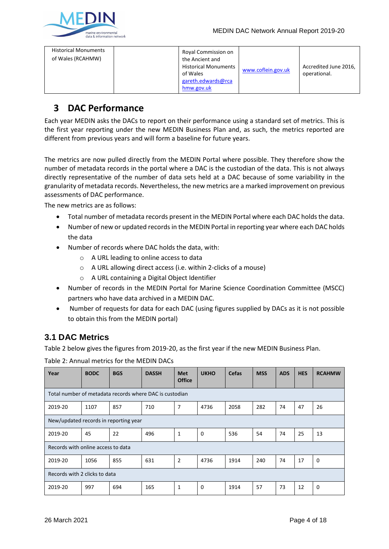# **3 DAC Performance**

Each year MEDIN asks the DACs to report on their performance using a standard set of metrics. This is the first year reporting under the new MEDIN Business Plan and, as such, the metrics reported are different from previous years and will form a baseline for future years.

The metrics are now pulled directly from the MEDIN Portal where possible. They therefore show the number of metadata records in the portal where a DAC is the custodian of the data. This is not always directly representative of the number of data sets held at a DAC because of some variability in the granularity of metadata records. Nevertheless, the new metrics are a marked improvement on previous assessments of DAC performance.

The new metrics are as follows:

- Total number of metadata records present in the MEDIN Portal where each DAC holds the data.
- Number of new or updated records in the MEDIN Portal in reporting year where each DAC holds the data
- Number of records where DAC holds the data, with:
	- o A URL leading to online access to data
	- o A URL allowing direct access (i.e. within 2-clicks of a mouse)
	- o A URL containing a Digital Object Identifier
- Number of records in the MEDIN Portal for Marine Science Coordination Committee (MSCC) partners who have data archived in a MEDIN DAC.
- Number of requests for data for each DAC (using figures supplied by DACs as it is not possible to obtain this from the MEDIN portal)

## **3.1 DAC Metrics**

Table 2 below gives the figures from 2019-20, as the first year if the new MEDIN Business Plan.

Table 2: Annual metrics for the MEDIN DACs

| Year                                                    | <b>BODC</b> | <b>BGS</b> | <b>DASSH</b> | <b>Met</b><br><b>Office</b> | <b>UKHO</b> | <b>Cefas</b> | <b>MSS</b> | <b>ADS</b> | <b>HES</b> | <b>RCAHMW</b> |
|---------------------------------------------------------|-------------|------------|--------------|-----------------------------|-------------|--------------|------------|------------|------------|---------------|
| Total number of metadata records where DAC is custodian |             |            |              |                             |             |              |            |            |            |               |
| 2019-20                                                 | 1107        | 857        | 710          | $\overline{7}$              | 4736        | 2058         | 282        | 74         | 47         | 26            |
| New/updated records in reporting year                   |             |            |              |                             |             |              |            |            |            |               |
| 2019-20                                                 | 45          | 22         | 496          | $\mathbf{1}$                | 0           | 536          | 54         | 74         | 25         | 13            |
| Records with online access to data                      |             |            |              |                             |             |              |            |            |            |               |
| 2019-20                                                 | 1056        | 855        | 631          | $\overline{2}$              | 4736        | 1914         | 240        | 74         | 17         | $\mathbf 0$   |
| Records with 2 clicks to data                           |             |            |              |                             |             |              |            |            |            |               |
| 2019-20                                                 | 997         | 694        | 165          | $\mathbf{1}$                | 0           | 1914         | 57         | 73         | 12         | 0             |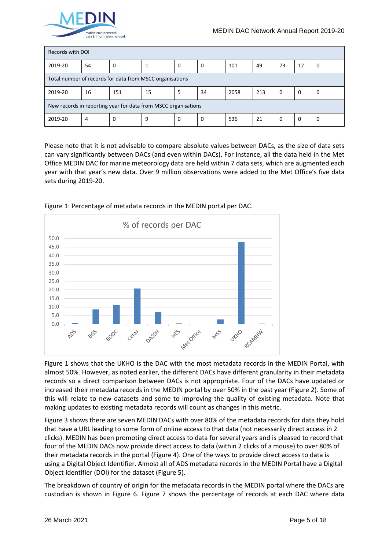

| Records with DOI                                               |    |     |    |   |    |      |     |          |    |   |
|----------------------------------------------------------------|----|-----|----|---|----|------|-----|----------|----|---|
| 2019-20                                                        | 54 | 0   |    | 0 | 0  | 101  | 49  | 73       | 12 | 0 |
| Total number of records for data from MSCC organisations       |    |     |    |   |    |      |     |          |    |   |
| 2019-20                                                        | 16 | 151 | 15 | 5 | 34 | 2058 | 213 | $\Omega$ | 0  | 0 |
| New records in reporting year for data from MSCC organisations |    |     |    |   |    |      |     |          |    |   |
| 2019-20                                                        | 4  | 0   | 9  | 0 | 0  | 536  | 21  | 0        | 0  | 0 |

Please note that it is not advisable to compare absolute values between DACs, as the size of data sets can vary significantly between DACs (and even within DACs). For instance, all the data held in the Met Office MEDIN DAC for marine meteorology data are held within 7 data sets, which are augmented each year with that year's new data. Over 9 million observations were added to the Met Office's five data sets during 2019-20.



Figure 1: Percentage of metadata records in the MEDIN portal per DAC.

Figure 1 shows that the UKHO is the DAC with the most metadata records in the MEDIN Portal, with almost 50%. However, as noted earlier, the different DACs have different granularity in their metadata records so a direct comparison between DACs is not appropriate. Four of the DACs have updated or increased their metadata records in the MEDIN portal by over 50% in the past year (Figure 2). Some of this will relate to new datasets and some to improving the quality of existing metadata. Note that making updates to existing metadata records will count as changes in this metric.

Figure 3 shows there are seven MEDIN DACs with over 80% of the metadata records for data they hold that have a URL leading to some form of online access to that data (not necessarily direct access in 2 clicks). MEDIN has been promoting direct access to data for several years and is pleased to record that four of the MEDIN DACs now provide direct access to data (within 2 clicks of a mouse) to over 80% of their metadata records in the portal (Figure 4). One of the ways to provide direct access to data is using a Digital Object Identifier. Almost all of ADS metadata records in the MEDIN Portal have a Digital Object Identifier (DOI) for the dataset (Figure 5).

The breakdown of country of origin for the metadata records in the MEDIN portal where the DACs are custodian is shown in Figure 6. Figure 7 shows the percentage of records at each DAC where data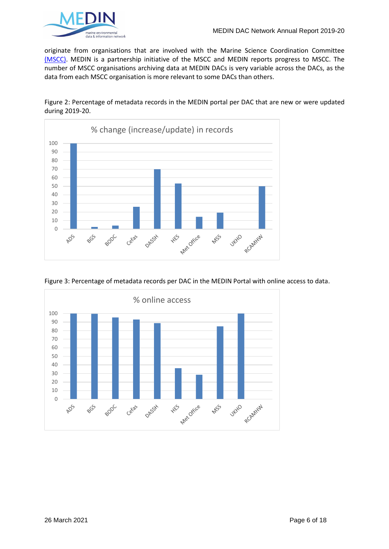

originate from organisations that are involved with the [Marine Science Coordination Committee](https://www.gov.uk/government/groups/marine-science-co-ordination-committee) [\(MSCC\).](https://www.gov.uk/government/groups/marine-science-co-ordination-committee) MEDIN is a partnership initiative of the MSCC and MEDIN reports progress to MSCC. The number of MSCC organisations archiving data at MEDIN DACs is very variable across the DACs, as the data from each MSCC organisation is more relevant to some DACs than others.







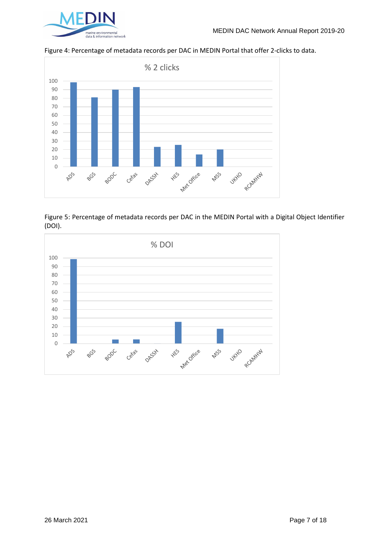

Figure 4: Percentage of metadata records per DAC in MEDIN Portal that offer 2-clicks to data.



Figure 5: Percentage of metadata records per DAC in the MEDIN Portal with a Digital Object Identifier (DOI).

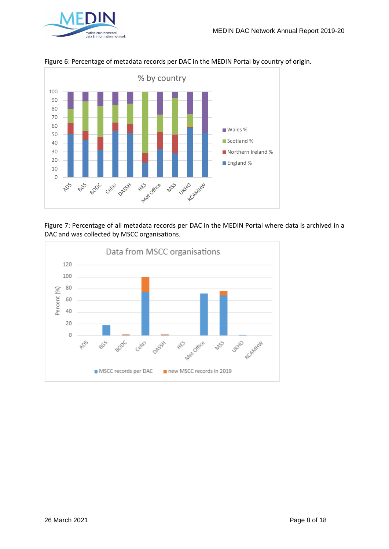



Figure 6: Percentage of metadata records per DAC in the MEDIN Portal by country of origin.



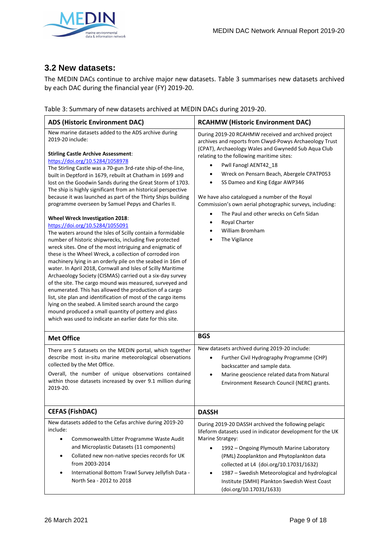

## **3.2 New datasets:**

The MEDIN DACs continue to archive major new datasets. Table 3 summarises new datasets archived by each DAC during the financial year (FY) 2019-20.

| <b>ADS (Historic Environment DAC)</b>                                                                                                                                                                                                                                                                                                                                                                                                                                                                                                                                                                                                                                                                                                                                                                                                                                                                                                                                                                                                                                                                                                                                                                                                                                                                                                                                                                                         | <b>RCAHMW (Historic Environment DAC)</b>                                                                                                                                                                                                                                                                                                                                                                                                                                                                                                                    |  |  |  |  |  |
|-------------------------------------------------------------------------------------------------------------------------------------------------------------------------------------------------------------------------------------------------------------------------------------------------------------------------------------------------------------------------------------------------------------------------------------------------------------------------------------------------------------------------------------------------------------------------------------------------------------------------------------------------------------------------------------------------------------------------------------------------------------------------------------------------------------------------------------------------------------------------------------------------------------------------------------------------------------------------------------------------------------------------------------------------------------------------------------------------------------------------------------------------------------------------------------------------------------------------------------------------------------------------------------------------------------------------------------------------------------------------------------------------------------------------------|-------------------------------------------------------------------------------------------------------------------------------------------------------------------------------------------------------------------------------------------------------------------------------------------------------------------------------------------------------------------------------------------------------------------------------------------------------------------------------------------------------------------------------------------------------------|--|--|--|--|--|
| New marine datasets added to the ADS archive during<br>2019-20 include:<br><b>Stirling Castle Archive Assessment:</b><br>https://doi.org/10.5284/1058978<br>The Stirling Castle was a 70-gun 3rd-rate ship-of-the-line,<br>built in Deptford in 1679, rebuilt at Chatham in 1699 and<br>lost on the Goodwin Sands during the Great Storm of 1703.<br>The ship is highly significant from an historical perspective<br>because it was launched as part of the Thirty Ships building<br>programme overseen by Samuel Pepys and Charles II.<br>Wheel Wreck Investigation 2018:<br>https://doi.org/10.5284/1055091<br>The waters around the Isles of Scilly contain a formidable<br>number of historic shipwrecks, including five protected<br>wreck sites. One of the most intriguing and enigmatic of<br>these is the Wheel Wreck, a collection of corroded iron<br>machinery lying in an orderly pile on the seabed in 16m of<br>water. In April 2018, Cornwall and Isles of Scilly Maritime<br>Archaeology Society (CISMAS) carried out a six-day survey<br>of the site. The cargo mound was measured, surveyed and<br>enumerated. This has allowed the production of a cargo<br>list, site plan and identification of most of the cargo items<br>lying on the seabed. A limited search around the cargo<br>mound produced a small quantity of pottery and glass<br>which was used to indicate an earlier date for this site. | During 2019-20 RCAHMW received and archived project<br>archives and reports from Clwyd-Powys Archaeology Trust<br>(CPAT), Archaeology Wales and Gwynedd Sub Aqua Club<br>relating to the following maritime sites:<br>Pwll Fanogl AENT42_18<br>Wreck on Pensarn Beach, Abergele CPATP053<br>SS Dameo and King Edgar AWP346<br>We have also catalogued a number of the Royal<br>Commission's own aerial photographic surveys, including:<br>The Paul and other wrecks on Cefn Sidan<br>Royal Charter<br>$\bullet$<br><b>William Bromham</b><br>The Vigilance |  |  |  |  |  |
| <b>Met Office</b>                                                                                                                                                                                                                                                                                                                                                                                                                                                                                                                                                                                                                                                                                                                                                                                                                                                                                                                                                                                                                                                                                                                                                                                                                                                                                                                                                                                                             | <b>BGS</b>                                                                                                                                                                                                                                                                                                                                                                                                                                                                                                                                                  |  |  |  |  |  |
| There are 5 datasets on the MEDIN portal, which together<br>describe most in-situ marine meteorological observations<br>collected by the Met Office.<br>Overall, the number of unique observations contained<br>within those datasets increased by over 9.1 million during<br>2019-20.                                                                                                                                                                                                                                                                                                                                                                                                                                                                                                                                                                                                                                                                                                                                                                                                                                                                                                                                                                                                                                                                                                                                        | New datasets archived during 2019-20 include:<br>Further Civil Hydrography Programme (CHP)<br>backscatter and sample data.<br>Marine geoscience related data from Natural<br>$\bullet$<br>Environment Research Council (NERC) grants.                                                                                                                                                                                                                                                                                                                       |  |  |  |  |  |
| <b>CEFAS (FishDAC)</b>                                                                                                                                                                                                                                                                                                                                                                                                                                                                                                                                                                                                                                                                                                                                                                                                                                                                                                                                                                                                                                                                                                                                                                                                                                                                                                                                                                                                        | <b>DASSH</b>                                                                                                                                                                                                                                                                                                                                                                                                                                                                                                                                                |  |  |  |  |  |
| New datasets added to the Cefas archive during 2019-20<br>include:<br>Commonwealth Litter Programme Waste Audit<br>$\bullet$<br>and Microplastic Datasets (11 components)<br>Collated new non-native species records for UK<br>$\bullet$<br>from 2003-2014<br>International Bottom Trawl Survey Jellyfish Data -<br>$\bullet$<br>North Sea - 2012 to 2018                                                                                                                                                                                                                                                                                                                                                                                                                                                                                                                                                                                                                                                                                                                                                                                                                                                                                                                                                                                                                                                                     | During 2019-20 DASSH archived the following pelagic<br>lifeform datasets used in indicator development for the UK<br>Marine Stratgey:<br>1992 - Ongoing Plymouth Marine Laboratory<br>$\bullet$<br>(PML) Zooplankton and Phytoplankton data<br>collected at L4 (doi.org/10.17031/1632)<br>1987 - Swedish Meteorological and hydrological<br>$\bullet$<br>Institute (SMHI) Plankton Swedish West Coast<br>(doi.org/10.17031/1633)                                                                                                                            |  |  |  |  |  |

Table 3: Summary of new datasets archived at MEDIN DACs during 2019-20.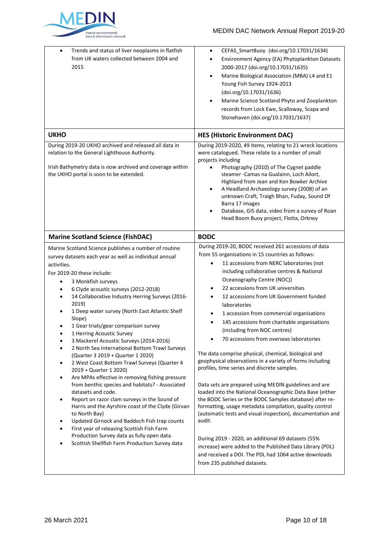

## MEDIN DAC Network Annual Report 2019-20

| Trends and status of liver neoplasms in flatfish<br>$\bullet$<br>from UK waters collected between 2004 and<br>2015                                                                                                                                                                                                                                                                                                                                                                                                                                                                                                                                                                                                                                                                                                                                                                                                                                                                                                                                                                                                       | CEFAS SmartBuoy (doi.org/10.17031/1634)<br>$\bullet$<br>Environment Agency (EA) Phytoplankton Datasets<br>$\bullet$<br>2000-2017 (doi.org/10.17031/1635)<br>Marine Biological Association (MBA) L4 and E1<br>$\bullet$<br>Young Fish Survey 1924-2013<br>(doi.org/10.17031/1636)<br>Marine Science Scotland Phyto and Zooplankton<br>$\bullet$<br>records from Lock Ewe, Scalloway, Scapa and<br>Stonehaven (doi.org/10.17031/1637)                                                                                                                                                                                                                                                                                                                                                                                                                                                                                                                                                                                                                                                                                                                                                                                                                                            |
|--------------------------------------------------------------------------------------------------------------------------------------------------------------------------------------------------------------------------------------------------------------------------------------------------------------------------------------------------------------------------------------------------------------------------------------------------------------------------------------------------------------------------------------------------------------------------------------------------------------------------------------------------------------------------------------------------------------------------------------------------------------------------------------------------------------------------------------------------------------------------------------------------------------------------------------------------------------------------------------------------------------------------------------------------------------------------------------------------------------------------|--------------------------------------------------------------------------------------------------------------------------------------------------------------------------------------------------------------------------------------------------------------------------------------------------------------------------------------------------------------------------------------------------------------------------------------------------------------------------------------------------------------------------------------------------------------------------------------------------------------------------------------------------------------------------------------------------------------------------------------------------------------------------------------------------------------------------------------------------------------------------------------------------------------------------------------------------------------------------------------------------------------------------------------------------------------------------------------------------------------------------------------------------------------------------------------------------------------------------------------------------------------------------------|
| <b>UKHO</b>                                                                                                                                                                                                                                                                                                                                                                                                                                                                                                                                                                                                                                                                                                                                                                                                                                                                                                                                                                                                                                                                                                              | <b>HES (Historic Environment DAC)</b>                                                                                                                                                                                                                                                                                                                                                                                                                                                                                                                                                                                                                                                                                                                                                                                                                                                                                                                                                                                                                                                                                                                                                                                                                                          |
| During 2019-20 UKHO archived and released all data in<br>relation to the General Lighthouse Authority.<br>Irish Bathymetry data is now archived and coverage within<br>the UKHO portal is soon to be extended.                                                                                                                                                                                                                                                                                                                                                                                                                                                                                                                                                                                                                                                                                                                                                                                                                                                                                                           | During 2019-2020, 49 items, relating to 21 wreck locations<br>were catalogued. These relate to a number of small<br>projects including<br>Photography (2010) of The Cygnet paddle<br>$\bullet$<br>steamer - Camas na Gualainn, Loch Ailort,<br>Highland from Jean and Ken Bowker Archive<br>A Headland Archaeology survey (2008) of an<br>$\bullet$<br>unknown Craft, Traigh Bhan, Fuday, Sound Of<br>Barra 17 images<br>Database, GIS data, video from a survey of Roan<br>$\bullet$<br>Head Boom Buoy project, Flotta, Orkney                                                                                                                                                                                                                                                                                                                                                                                                                                                                                                                                                                                                                                                                                                                                                |
| <b>Marine Scotland Science (FishDAC)</b>                                                                                                                                                                                                                                                                                                                                                                                                                                                                                                                                                                                                                                                                                                                                                                                                                                                                                                                                                                                                                                                                                 | <b>BODC</b>                                                                                                                                                                                                                                                                                                                                                                                                                                                                                                                                                                                                                                                                                                                                                                                                                                                                                                                                                                                                                                                                                                                                                                                                                                                                    |
| Marine Scotland Science publishes a number of routine<br>survey datasets each year as well as individual annual<br>activities.<br>For 2019-20 these include:<br>3 Monkfish surveys<br>$\bullet$<br>6 Clyde acoustic surveys (2012-2018)<br>14 Collaborative Industry Herring Surveys (2016-<br>٠<br>2019)<br>1 Deep water survey (North East Atlantic Shelf<br>Slope)<br>1 Gear trials/gear comparison survey<br>1 Herring Acoustic Survey<br>3 Mackerel Acoustic Surveys (2014-2016)<br>2 North Sea International Bottom Trawl Surveys<br>(Quarter 3 2019 + Quarter 1 2020)<br>2 West Coast Bottom Trawl Surveys (Quarter 4<br>2019 + Quarter 1 2020)<br>Are MPAs effective in removing fishing pressure<br>٠<br>from benthic species and habitats? - Associated<br>datasets and code.<br>Report on razor clam surveys in the Sound of<br>$\bullet$<br>Harris and the Ayrshire coast of the Clyde (Girvan<br>to North Bay)<br>Updated Girnock and Baddoch Fish trap counts<br>First year of releasing Scottish Fish Farm<br>Production Survey data as fully open data<br>Scottish Shellfish Farm Production Survey data | During 2019-20, BODC received 261 accessions of data<br>from 55 organisations in 15 countries as follows:<br>11 accessions from NERC laboratories (not<br>$\bullet$<br>including collaborative centres & National<br>Oceanography Centre (NOC))<br>22 accessions from UK universities<br>$\bullet$<br>12 accessions from UK Government funded<br>$\bullet$<br>laboratories<br>1 accession from commercial organisations<br>$\bullet$<br>145 accessions from charitable organisations<br>$\bullet$<br>(including from NOC centres)<br>70 accessions from overseas laboratories<br>The data comprise physical, chemical, biological and<br>geophysical observations in a variety of forms including<br>profiles, time series and discrete samples.<br>Data sets are prepared using MEDIN guidelines and are<br>loaded into the National Oceanographic Data Base (either<br>the BODC Series or the BODC Samples database) after re-<br>formatting, usage metadata compilation, quality control<br>(automatic tests and visual inspection), documentation and<br>audit.<br>During 2019 - 2020, an additional 69 datasets (55%<br>increase) were added to the Published Data Library (PDL)<br>and received a DOI. The PDL had 1064 active downloads<br>from 235 published datasets. |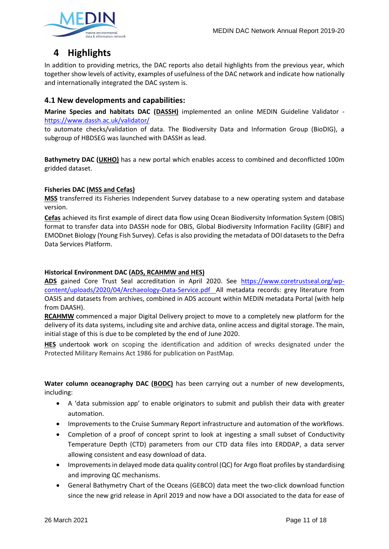

## **4 Highlights**

In addition to providing metrics, the DAC reports also detail highlights from the previous year, which together show levels of activity, examples of usefulness of the DAC network and indicate how nationally and internationally integrated the DAC system is.

## **4.1 New developments and capabilities:**

**Marine Species and habitats DAC (DASSH)** implemented an online MEDIN Guideline Validator <https://www.dassh.ac.uk/validator/>

to automate checks/validation of data. The Biodiversity Data and Information Group (BioDIG), a subgroup of HBDSEG was launched with DASSH as lead.

**Bathymetry DAC (UKHO)** has a new portal which enables access to combined and deconflicted 100m gridded dataset.

#### **Fisheries DAC (MSS and Cefas)**

**MSS** transferred its Fisheries Independent Survey database to a new operating system and database version.

**Cefas** achieved its first example of direct data flow using Ocean Biodiversity Information System (OBIS) format to transfer data into DASSH node for OBIS, Global Biodiversity Information Facility (GBIF) and EMODnet Biology (Young Fish Survey). Cefas is also providing the metadata of DOI datasets to the Defra Data Services Platform.

#### **Historical Environment DAC (ADS, RCAHMW and HES)**

**ADS** gained Core Trust Seal accreditation in April 2020. See [https://www.coretrustseal.org/wp](https://www.coretrustseal.org/wp-content/uploads/2020/04/Archaeology-Data-Service.pdf)[content/uploads/2020/04/Archaeology-Data-Service.pdf](https://www.coretrustseal.org/wp-content/uploads/2020/04/Archaeology-Data-Service.pdf) All metadata records: grey literature from OASIS and datasets from archives, combined in ADS account within MEDIN metadata Portal (with help from DAASH).

**RCAHMW** commenced a major Digital Delivery project to move to a completely new platform for the delivery of its data systems, including site and archive data, online access and digital storage. The main, initial stage of this is due to be completed by the end of June 2020.

**HES** undertook work on scoping the identification and addition of wrecks designated under the Protected Military Remains Act 1986 for publication on PastMap.

**Water column oceanography DAC (BODC)** has been carrying out a number of new developments, including:

- A 'data submission app' to enable originators to submit and publish their data with greater automation.
- Improvements to the Cruise Summary Report infrastructure and automation of the workflows.
- Completion of a proof of concept sprint to look at ingesting a small subset of Conductivity Temperature Depth (CTD) parameters from our CTD data files into ERDDAP, a data server allowing consistent and easy download of data.
- Improvements in delayed mode data quality control (QC) for Argo float profiles by standardising and improving QC mechanisms.
- General Bathymetry Chart of the Oceans (GEBCO) data meet the two-click download function since the new grid release in April 2019 and now have a DOI associated to the data for ease of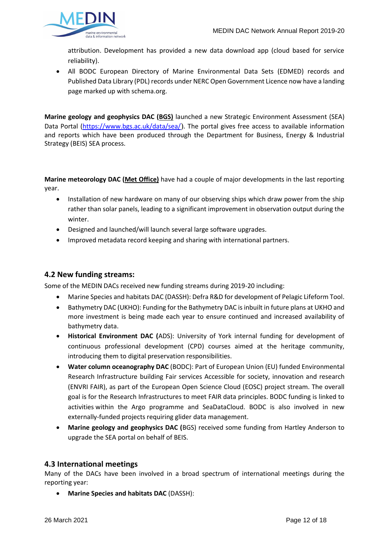

attribution. Development has provided a new data download app (cloud based for service reliability).

• All BODC European Directory of Marine Environmental Data Sets (EDMED) records and Published Data Library (PDL) records under NERC Open Government Licence now have a landing page marked up with schema.org.

**Marine geology and geophysics DAC (BGS)** launched a new Strategic Environment Assessment (SEA) Data Portal [\(https://www.bgs.ac.uk/data/sea/](https://www.bgs.ac.uk/data/sea/)). The portal gives free access to available information and reports which have been produced through the Department for Business, Energy & Industrial Strategy (BEIS) SEA process.

**Marine meteorology DAC (Met Office)** have had a couple of major developments in the last reporting year.

- Installation of new hardware on many of our observing ships which draw power from the ship rather than solar panels, leading to a significant improvement in observation output during the winter.
- Designed and launched/will launch several large software upgrades.
- Improved metadata record keeping and sharing with international partners.

### **4.2 New funding streams:**

Some of the MEDIN DACs received new funding streams during 2019-20 including:

- Marine Species and habitats DAC (DASSH): Defra R&D for development of Pelagic Lifeform Tool.
- Bathymetry DAC (UKHO): Funding for the Bathymetry DAC is inbuilt in future plans at UKHO and more investment is being made each year to ensure continued and increased availability of bathymetry data.
- **Historical Environment DAC (**ADS): University of York internal funding for development of continuous professional development (CPD) courses aimed at the heritage community, introducing them to digital preservation responsibilities.
- **Water column oceanography DAC** (BODC): Part of European Union (EU) funded Environmental Research Infrastructure building Fair services Accessible for society, innovation and research (ENVRI FAIR), as part of the European Open Science Cloud (EOSC) project stream. The overall goal is for the Research Infrastructures to meet FAIR data principles. BODC funding is linked to activities within the Argo programme and SeaDataCloud. BODC is also involved in new externally-funded projects requiring glider data management.
- **Marine geology and geophysics DAC (**BGS) received some funding from Hartley Anderson to upgrade the SEA portal on behalf of BEIS.

#### **4.3 International meetings**

Many of the DACs have been involved in a broad spectrum of international meetings during the reporting year:

• **Marine Species and habitats DAC** (DASSH):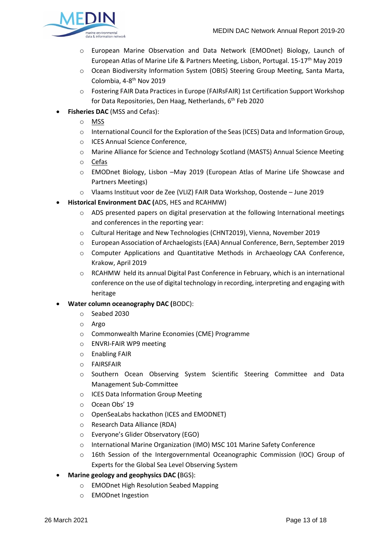

- o European Marine Observation and Data Network (EMODnet) Biology, Launch of European Atlas of Marine Life & Partners Meeting, Lisbon, Portugal. 15-17<sup>th</sup> May 2019
- o Ocean Biodiversity Information System (OBIS) Steering Group Meeting, Santa Marta, Colombia, 4-8<sup>th</sup> Nov 2019
- o Fostering FAIR Data Practices in Europe (FAIRsFAIR) 1st Certification Support Workshop for Data Repositories, Den Haag, Netherlands, 6<sup>th</sup> Feb 2020
- **Fisheries DAC** (MSS and Cefas):
	- o MSS
	- $\circ$  International Council for the Exploration of the Seas (ICES) Data and Information Group,
	- o ICES Annual Science Conference,
	- o Marine Alliance for Science and Technology Scotland (MASTS) Annual Science Meeting
	- o Cefas
	- o EMODnet Biology, Lisbon –May 2019 (European Atlas of Marine Life Showcase and Partners Meetings)
	- o Vlaams Instituut voor de Zee (VLIZ) FAIR Data Workshop, Oostende June 2019
- **Historical Environment DAC (**ADS, HES and RCAHMW)
	- $\circ$  ADS presented papers on digital preservation at the following International meetings and conferences in the reporting year:
	- o Cultural Heritage and New Technologies (CHNT2019), Vienna, November 2019
	- o European Association of Archaelogists (EAA) Annual Conference, Bern, September 2019
	- o Computer Applications and Quantitative Methods in Archaeology CAA Conference, Krakow, April 2019
	- $\circ$  RCAHMW held its annual Digital Past Conference in February, which is an international conference on the use of digital technology in recording, interpreting and engaging with heritage
- **Water column oceanography DAC (**BODC):
	- o Seabed 2030
	- o Argo
	- o Commonwealth Marine Economies (CME) Programme
	- o ENVRI-FAIR WP9 meeting
	- o Enabling FAIR
	- o FAIRSFAIR
	- o Southern Ocean Observing System Scientific Steering Committee and Data Management Sub-Committee
	- o ICES Data Information Group Meeting
	- o Ocean Obs' 19
	- o OpenSeaLabs hackathon (ICES and EMODNET)
	- o Research Data Alliance (RDA)
	- o Everyone's Glider Observatory (EGO)
	- o International Marine Organization (IMO) MSC 101 Marine Safety Conference
	- o 16th Session of the Intergovernmental Oceanographic Commission (IOC) Group of Experts for the Global Sea Level Observing System
- **Marine geology and geophysics DAC (**BGS):
	- o EMODnet High Resolution Seabed Mapping
	- o EMODnet Ingestion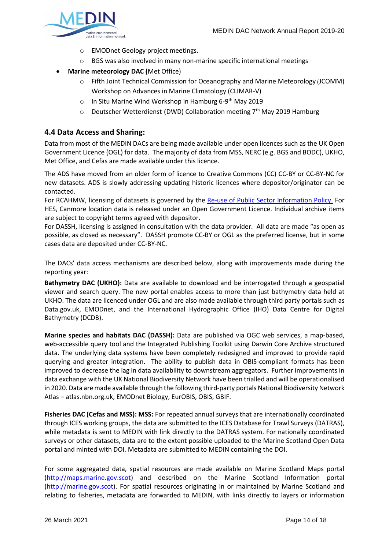

- o EMODnet Geology project meetings.
- o BGS was also involved in many non-marine specific international meetings
- **Marine meteorology DAC (**Met Office)
	- o Fifth Joint Technical Commission for Oceanography and Marine Meteorology (JCOMM) Workshop on Advances in Marine Climatology (CLIMAR-V)
	- In Situ Marine Wind Workshop in Hamburg 6-9<sup>th</sup> May 2019
	- $\circ$  Deutscher Wetterdienst (DWD) Collaboration meeting 7<sup>th</sup> May 2019 Hamburg

## **4.4 Data Access and Sharing:**

Data from most of the MEDIN DACs are being made available under open licences such as the UK Open Government Licence (OGL) for data. The majority of data from MSS, NERC (e.g. BGS and BODC), UKHO, Met Office, and Cefas are made available under this licence.

The ADS have moved from an older form of licence to Creative Commons (CC) CC-BY or CC-BY-NC for new datasets. ADS is slowly addressing updating historic licences where depositor/originator can be contacted.

For RCAHMW, licensing of datasets is governed by the [Re-use of Public Sector Information Policy.](https://rcahmw.gov.uk/about-us/corporate-information/policies/re-use-of-public-sector-information-policy/#link4) For HES, Canmore location data is released under an Open Government Licence. Individual archive items are subject to copyright terms agreed with depositor.

For DASSH, licensing is assigned in consultation with the data provider. All data are made "as open as possible, as closed as necessary". DASSH promote CC-BY or OGL as the preferred license, but in some cases data are deposited under CC-BY-NC.

The DACs' data access mechanisms are described below, along with improvements made during the reporting year:

**Bathymetry DAC (UKHO):** Data are available to download and be interrogated through a geospatial viewer and search query. The new portal enables access to more than just bathymetry data held at UKHO. The data are licenced under OGL and are also made available through third party portals such as Data.gov.uk, EMODnet, and the International Hydrographic Office (IHO) Data Centre for Digital Bathymetry (DCDB).

**Marine species and habitats DAC (DASSH):** Data are published via OGC web services, a map-based, web-accessible query tool and the Integrated Publishing Toolkit using Darwin Core Archive structured data. The underlying data systems have been completely redesigned and improved to provide rapid querying and greater integration. The ability to publish data in OBIS-compliant formats has been improved to decrease the lag in data availability to downstream aggregators. Further improvements in data exchange with the UK National Biodiversity Network have been trialled and will be operationalised in 2020. Data are made available through the following third-party portals National Biodiversity Network Atlas – atlas.nbn.org.uk, EMODnet Biology, EurOBIS, OBIS, GBIF.

**Fisheries DAC (Cefas and MSS): MSS:** For repeated annual surveys that are internationally coordinated through ICES working groups, the data are submitted to the ICES Database for Trawl Surveys (DATRAS), while metadata is sent to MEDIN with link directly to the DATRAS system. For nationally coordinated surveys or other datasets, data are to the extent possible uploaded to the Marine Scotland Open Data portal and minted with DOI. Metadata are submitted to MEDIN containing the DOI.

For some aggregated data, spatial resources are made available on Marine Scotland Maps portal [\(http://maps.marine.gov.scot\)](http://maps.marine.gov.scot/) and described on the Marine Scotland Information portal [\(http://marine.gov.scot\)](http://marine.gov.scot/). For spatial resources originating in or maintained by Marine Scotland and relating to fisheries, metadata are forwarded to MEDIN, with links directly to layers or information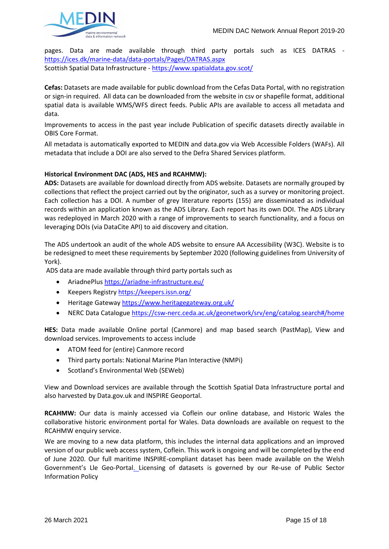

pages. Data are made available through third party portals such as ICES DATRAS <https://ices.dk/marine-data/data-portals/Pages/DATRAS.aspx> Scottish Spatial Data Infrastructure - <https://www.spatialdata.gov.scot/>

**Cefas:** Datasets are made available for public download from the Cefas Data Portal, with no registration or sign-in required. All data can be downloaded from the website in csv or shapefile format, additional spatial data is available WMS/WFS direct feeds. Public APIs are available to access all metadata and data.

Improvements to access in the past year include Publication of specific datasets directly available in OBIS Core Format.

All metadata is automatically exported to MEDIN and data.gov via Web Accessible Folders (WAFs). All metadata that include a DOI are also served to the Defra Shared Services platform.

#### **Historical Environment DAC (ADS, HES and RCAHMW):**

**ADS:** Datasets are available for download directly from ADS website. Datasets are normally grouped by collections that reflect the project carried out by the originator, such as a survey or monitoring project. Each collection has a DOI. A number of grey literature reports (155) are disseminated as individual records within an application known as the ADS Library. Each report has its own DOI. The ADS Library was redeployed in March 2020 with a range of improvements to search functionality, and a focus on leveraging DOIs (via DataCite API) to aid discovery and citation.

The ADS undertook an audit of the whole ADS website to ensure AA Accessibility (W3C). Website is to be redesigned to meet these requirements by September 2020 (following guidelines from University of York).

ADS data are made available through third party portals such as

- AriadnePlus<https://ariadne-infrastructure.eu/>
- Keepers Registry<https://keepers.issn.org/>
- Heritage Gateway<https://www.heritagegateway.org.uk/>
- NERC Data Catalogu[e https://csw-nerc.ceda.ac.uk/geonetwork/srv/eng/catalog.search#/home](https://csw-nerc.ceda.ac.uk/geonetwork/srv/eng/catalog.search#/home)

**HES:** Data made available Online portal (Canmore) and map based search (PastMap), View and download services. Improvements to access include

- ATOM feed for (entire) Canmore record
- Third party portals: National Marine Plan Interactive (NMPi)
- Scotland's Environmental Web (SEWeb)

View and Download services are available through the Scottish Spatial Data Infrastructure portal and also harvested by Data.gov.uk and INSPIRE Geoportal.

**RCAHMW:** Our data is mainly accessed via [Coflein](http://www.coflein.gov.uk/) our online database, and [Historic Wales](http://historicwales.gov.uk/) the collaborative historic environment portal for Wales. Data downloads are available on request to the [RCAHMW enquiry service.](https://rcahmw.gov.uk/services/enquiry-services/)

We are moving to a new data platform, this includes the internal data applications and an improved version of our public web access system, Coflein. This work is ongoing and will be completed by the end of June 2020. Our full maritime INSPIRE-compliant dataset has been made available on the Welsh Government's [Lle Geo-Portal.](http://lle.gov.wales/catalogue/item/NationalMonumentsRecordOfWalesMaritimeHeritageAssets/?lang=en) Licensing of datasets is governed by our [Re-use of Public Sector](https://rcahmw.gov.uk/about-us/corporate-information/re-use-of-public-sector-information-policy/)  [Information Policy](https://rcahmw.gov.uk/about-us/corporate-information/re-use-of-public-sector-information-policy/)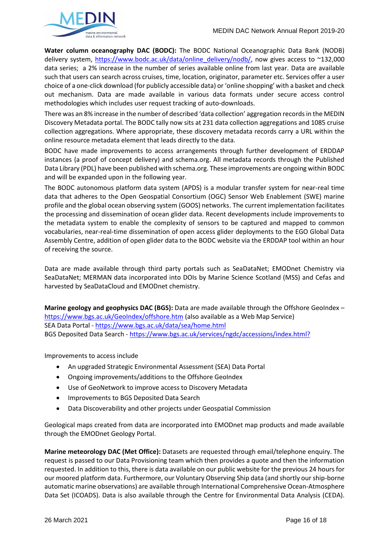

**Water column oceanography DAC (BODC):** The BODC National Oceanographic Data Bank (NODB) delivery system, [https://www.bodc.ac.uk/data/online\\_delivery/nodb/,](https://www.bodc.ac.uk/data/online_delivery/nodb/) now gives access to ~132,000 data series; a 2% increase in the number of series available online from last year. Data are available such that users can search across cruises, time, location, originator, parameter etc. Services offer a user choice of a one-click download (for publicly accessible data) or 'online shopping' with a basket and check out mechanism. Data are made available in various data formats under secure access control methodologies which includes user request tracking of auto-downloads.

There was an 8% increase in the number of described 'data collection' aggregation records in the MEDIN Discovery Metadata portal. The BODC tally now sits at 231 data collection aggregations and 1085 cruise collection aggregations. Where appropriate, these discovery metadata records carry a URL within the online resource metadata element that leads directly to the data.

BODC have made improvements to access arrangements through further development of ERDDAP instances (a proof of concept delivery) and schema.org. All metadata records through the Published Data Library (PDL) have been published with schema.org. These improvements are ongoing within BODC and will be expanded upon in the following year.

The BODC autonomous platform data system (APDS) is a modular transfer system for near-real time data that adheres to the Open Geospatial Consortium (OGC) Sensor Web Enablement (SWE) marine profile and the global ocean observing system (GOOS) networks. The current implementation facilitates the processing and dissemination of ocean glider data. Recent developments include improvements to the metadata system to enable the complexity of sensors to be captured and mapped to common vocabularies, near-real-time dissemination of open access glider deployments to the EGO Global Data Assembly Centre, addition of open glider data to the BODC website via the ERDDAP tool within an hour of receiving the source.

Data are made available through third party portals such as SeaDataNet; EMODnet Chemistry via SeaDataNet; MERMAN data incorporated into DOIs by Marine Science Scotland (MSS) and Cefas and harvested by SeaDataCloud and EMODnet chemistry.

**Marine geology and geophysics DAC (BGS):** Data are made available through the Offshore GeoIndex <https://www.bgs.ac.uk/GeoIndex/offshore.htm> (also available as a Web Map Service) SEA Data Portal - <https://www.bgs.ac.uk/data/sea/home.html> BGS Deposited Data Search - <https://www.bgs.ac.uk/services/ngdc/accessions/index.html?>

Improvements to access include

- An upgraded Strategic Environmental Assessment (SEA) Data Portal
- Ongoing improvements/additions to the Offshore GeoIndex
- Use of GeoNetwork to improve access to Discovery Metadata
- Improvements to BGS Deposited Data Search
- Data Discoverability and other projects under Geospatial Commission

Geological maps created from data are incorporated into EMODnet map products and made available through the EMODnet Geology Portal.

**Marine meteorology DAC (Met Office):** Datasets are requested through email/telephone enquiry. The request is passed to our Data Provisioning team which then provides a quote and then the information requested. In addition to this, there is data available on our public website for the previous 24 hours for our moored platform data. Furthermore, our Voluntary Observing Ship data (and shortly our ship-borne automatic marine observations) are available through International Comprehensive Ocean-Atmosphere Data Set (ICOADS). Data is also available through the Centre for Environmental Data Analysis (CEDA).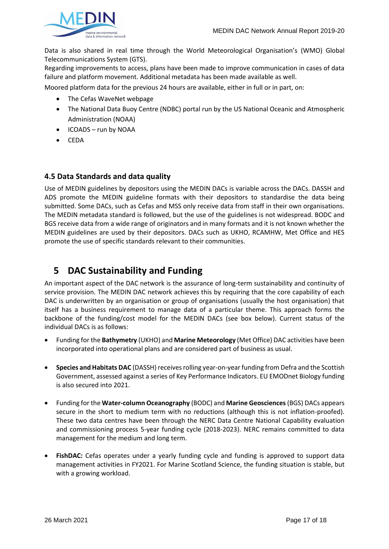

Data is also shared in real time through the World Meteorological Organisation's (WMO) Global Telecommunications System (GTS).

Regarding improvements to access, plans have been made to improve communication in cases of data failure and platform movement. Additional metadata has been made available as well.

Moored platform data for the previous 24 hours are available, either in full or in part, on:

- The Cefas WaveNet webpage
- The National Data Buoy Centre (NDBC) portal run by the US National Oceanic and Atmospheric Administration (NOAA)
- ICOADS run by NOAA
- CEDA

### **4.5 Data Standards and data quality**

Use of MEDIN guidelines by depositors using the MEDIN DACs is variable across the DACs. DASSH and ADS promote the MEDIN guideline formats with their depositors to standardise the data being submitted. Some DACs, such as Cefas and MSS only receive data from staff in their own organisations. The MEDIN metadata standard is followed, but the use of the guidelines is not widespread. BODC and BGS receive data from a wide range of originators and in many formats and it is not known whether the MEDIN guidelines are used by their depositors. DACs such as UKHO, RCAMHW, Met Office and HES promote the use of specific standards relevant to their communities.

## **5 DAC Sustainability and Funding**

An important aspect of the DAC network is the assurance of long-term sustainability and continuity of service provision. The MEDIN DAC network achieves this by requiring that the core capability of each DAC is underwritten by an organisation or group of organisations (usually the host organisation) that itself has a business requirement to manage data of a particular theme. This approach forms the backbone of the funding/cost model for the MEDIN DACs (see box below). Current status of the individual DACs is as follows:

- Funding for the **Bathymetry** (UKHO) and **Marine Meteorology** (Met Office) DAC activities have been incorporated into operational plans and are considered part of business as usual.
- **Species and Habitats DAC** (DASSH) receives rolling year-on-year funding from Defra and the Scottish Government, assessed against a series of Key Performance Indicators. EU EMODnet Biology funding is also secured into 2021.
- Funding for the **Water-column Oceanography** (BODC) and **Marine Geosciences**(BGS) DACs appears secure in the short to medium term with no reductions (although this is not inflation-proofed). These two data centres have been through the NERC Data Centre National Capability evaluation and commissioning process 5-year funding cycle (2018-2023). NERC remains committed to data management for the medium and long term.
- **FishDAC:** Cefas operates under a yearly funding cycle and funding is approved to support data management activities in FY2021. For Marine Scotland Science, the funding situation is stable, but with a growing workload.